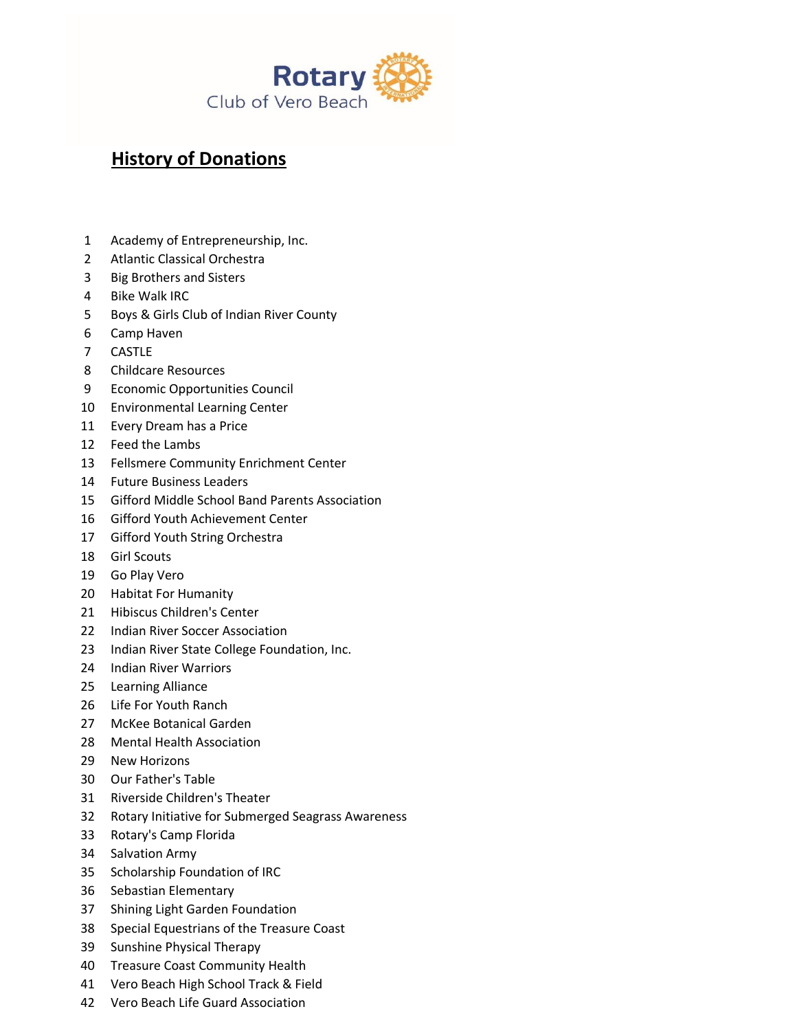

## **History of Donations**

- Academy of Entrepreneurship, Inc.
- Atlantic Classical Orchestra
- Big Brothers and Sisters
- Bike Walk IRC
- Boys & Girls Club of Indian River County
- Camp Haven
- CASTLE
- Childcare Resources
- Economic Opportunities Council
- Environmental Learning Center
- Every Dream has a Price
- Feed the Lambs
- Fellsmere Community Enrichment Center
- Future Business Leaders
- Gifford Middle School Band Parents Association
- Gifford Youth Achievement Center
- Gifford Youth String Orchestra
- Girl Scouts
- Go Play Vero
- Habitat For Humanity
- Hibiscus Children's Center
- Indian River Soccer Association
- Indian River State College Foundation, Inc.
- Indian River Warriors
- Learning Alliance
- Life For Youth Ranch
- McKee Botanical Garden
- Mental Health Association
- New Horizons
- Our Father's Table
- Riverside Children's Theater
- Rotary Initiative for Submerged Seagrass Awareness
- Rotary's Camp Florida
- Salvation Army
- Scholarship Foundation of IRC
- Sebastian Elementary
- Shining Light Garden Foundation
- Special Equestrians of the Treasure Coast
- Sunshine Physical Therapy
- Treasure Coast Community Health
- Vero Beach High School Track & Field
- Vero Beach Life Guard Association